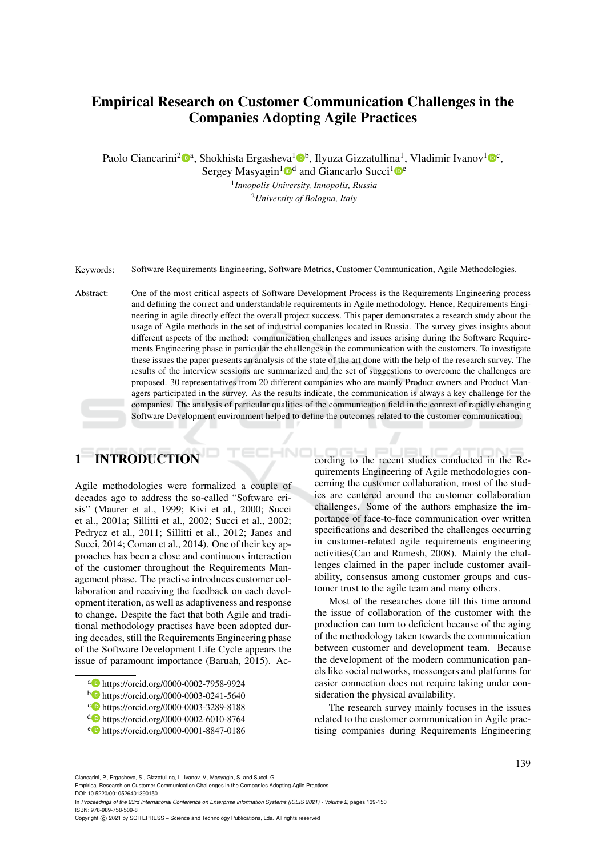## Empirical Research on Customer Communication Challenges in the Companies Adopting Agile Practices

Paolo Ciancarini<sup>2</sup><sup>®</sup>ª, Shokhista Ergasheva<sup>1</sup>®<sup>b</sup>, Ilyuza Gizzatullina<sup>1</sup>, Vladimir Ivanov<sup>1</sup>®<sup>c</sup>,

Sergey Masyagin<sup>1</sup><sup>od</sup> and Giancarlo Succi<sup>1</sup><sup>oe</sup> 1 *Innopolis University, Innopolis, Russia*

<sup>2</sup>*University of Bologna, Italy*

Keywords: Software Requirements Engineering, Software Metrics, Customer Communication, Agile Methodologies.

Abstract: One of the most critical aspects of Software Development Process is the Requirements Engineering process and defining the correct and understandable requirements in Agile methodology. Hence, Requirements Engineering in agile directly effect the overall project success. This paper demonstrates a research study about the usage of Agile methods in the set of industrial companies located in Russia. The survey gives insights about different aspects of the method: communication challenges and issues arising during the Software Requirements Engineering phase in particular the challenges in the communication with the customers. To investigate these issues the paper presents an analysis of the state of the art done with the help of the research survey. The results of the interview sessions are summarized and the set of suggestions to overcome the challenges are proposed. 30 representatives from 20 different companies who are mainly Product owners and Product Managers participated in the survey. As the results indicate, the communication is always a key challenge for the companies. The analysis of particular qualities of the communication field in the context of rapidly changing Software Development environment helped to define the outcomes related to the customer communication.

# 1 INTRODUCTION

Agile methodologies were formalized a couple of decades ago to address the so-called "Software crisis" (Maurer et al., 1999; Kivi et al., 2000; Succi et al., 2001a; Sillitti et al., 2002; Succi et al., 2002; Pedrycz et al., 2011; Sillitti et al., 2012; Janes and Succi, 2014; Coman et al., 2014). One of their key approaches has been a close and continuous interaction of the customer throughout the Requirements Management phase. The practise introduces customer collaboration and receiving the feedback on each development iteration, as well as adaptiveness and response to change. Despite the fact that both Agile and traditional methodology practises have been adopted during decades, still the Requirements Engineering phase of the Software Development Life Cycle appears the issue of paramount importance (Baruah, 2015). According to the recent studies conducted in the Requirements Engineering of Agile methodologies concerning the customer collaboration, most of the studies are centered around the customer collaboration challenges. Some of the authors emphasize the importance of face-to-face communication over written specifications and described the challenges occurring in customer-related agile requirements engineering activities(Cao and Ramesh, 2008). Mainly the challenges claimed in the paper include customer availability, consensus among customer groups and customer trust to the agile team and many others.

Most of the researches done till this time around the issue of collaboration of the customer with the production can turn to deficient because of the aging of the methodology taken towards the communication between customer and development team. Because the development of the modern communication panels like social networks, messengers and platforms for easier connection does not require taking under consideration the physical availability.

The research survey mainly focuses in the issues related to the customer communication in Agile practising companies during Requirements Engineering

Empirical Research on Customer Communication Challenges in the Companies Adopting Agile Practices. DOI: 10.5220/0010526401390150

In *Proceedings of the 23rd International Conference on Enterprise Information Systems (ICEIS 2021) - Volume 2*, pages 139-150 ISBN: 978-989-758-509-8

139

<sup>a</sup> https://orcid.org/0000-0002-7958-9924

<sup>b</sup> https://orcid.org/0000-0003-0241-5640

c https://orcid.org/0000-0003-3289-8188

<sup>d</sup> https://orcid.org/0000-0002-6010-8764

<sup>e</sup> https://orcid.org/0000-0001-8847-0186

Ciancarini, P., Ergasheva, S., Gizzatullina, I., Ivanov, V., Masyagin, S. and Succi, G.

Copyright (C) 2021 by SCITEPRESS - Science and Technology Publications, Lda. All rights reserved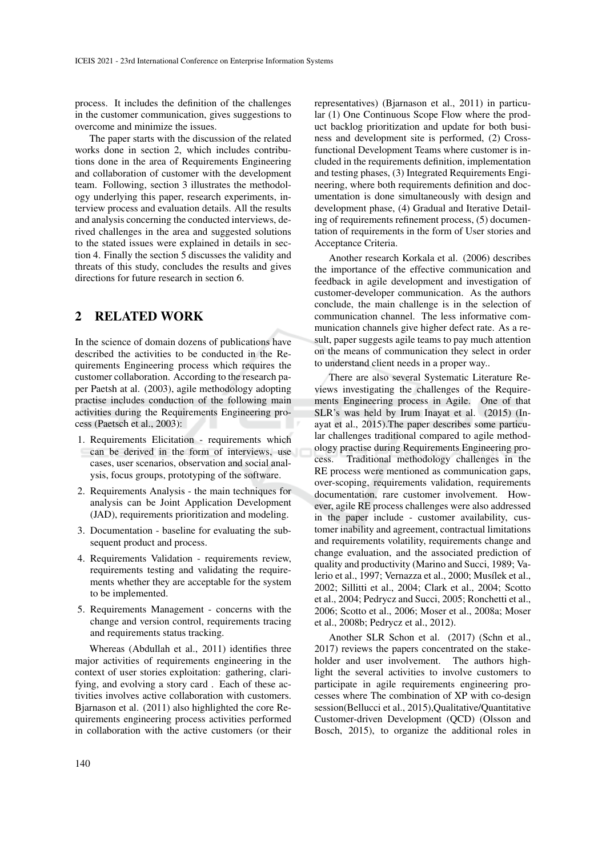process. It includes the definition of the challenges in the customer communication, gives suggestions to overcome and minimize the issues.

The paper starts with the discussion of the related works done in section 2, which includes contributions done in the area of Requirements Engineering and collaboration of customer with the development team. Following, section 3 illustrates the methodology underlying this paper, research experiments, interview process and evaluation details. All the results and analysis concerning the conducted interviews, derived challenges in the area and suggested solutions to the stated issues were explained in details in section 4. Finally the section 5 discusses the validity and threats of this study, concludes the results and gives directions for future research in section 6.

### 2 RELATED WORK

In the science of domain dozens of publications have described the activities to be conducted in the Requirements Engineering process which requires the customer collaboration. According to the research paper Paetsh at al. (2003), agile methodology adopting practise includes conduction of the following main activities during the Requirements Engineering process (Paetsch et al., 2003):

- 1. Requirements Elicitation requirements which can be derived in the form of interviews, use cases, user scenarios, observation and social analysis, focus groups, prototyping of the software.
- 2. Requirements Analysis the main techniques for analysis can be Joint Application Development (JAD), requirements prioritization and modeling.
- 3. Documentation baseline for evaluating the subsequent product and process.
- 4. Requirements Validation requirements review, requirements testing and validating the requirements whether they are acceptable for the system to be implemented.
- 5. Requirements Management concerns with the change and version control, requirements tracing and requirements status tracking.

Whereas (Abdullah et al., 2011) identifies three major activities of requirements engineering in the context of user stories exploitation: gathering, clarifying, and evolving a story card . Each of these activities involves active collaboration with customers. Bjarnason et al. (2011) also highlighted the core Requirements engineering process activities performed in collaboration with the active customers (or their representatives) (Bjarnason et al., 2011) in particular (1) One Continuous Scope Flow where the product backlog prioritization and update for both business and development site is performed, (2) Crossfunctional Development Teams where customer is included in the requirements definition, implementation and testing phases, (3) Integrated Requirements Engineering, where both requirements definition and documentation is done simultaneously with design and development phase, (4) Gradual and Iterative Detailing of requirements refinement process, (5) documentation of requirements in the form of User stories and Acceptance Criteria.

Another research Korkala et al. (2006) describes the importance of the effective communication and feedback in agile development and investigation of customer-developer communication. As the authors conclude, the main challenge is in the selection of communication channel. The less informative communication channels give higher defect rate. As a result, paper suggests agile teams to pay much attention on the means of communication they select in order to understand client needs in a proper way..

There are also several Systematic Literature Reviews investigating the challenges of the Requirements Engineering process in Agile. One of that SLR's was held by Irum Inayat et al. (2015) (Inayat et al., 2015).The paper describes some particular challenges traditional compared to agile methodology practise during Requirements Engineering process. Traditional methodology challenges in the RE process were mentioned as communication gaps, over-scoping, requirements validation, requirements documentation, rare customer involvement. However, agile RE process challenges were also addressed in the paper include - customer availability, customer inability and agreement, contractual limitations and requirements volatility, requirements change and change evaluation, and the associated prediction of quality and productivity (Marino and Succi, 1989; Valerio et al., 1997; Vernazza et al., 2000; Musílek et al., 2002; Sillitti et al., 2004; Clark et al., 2004; Scotto et al., 2004; Pedrycz and Succi, 2005; Ronchetti et al., 2006; Scotto et al., 2006; Moser et al., 2008a; Moser et al., 2008b; Pedrycz et al., 2012).

Another SLR Schon et al. (2017) (Schn et al., 2017) reviews the papers concentrated on the stakeholder and user involvement. The authors highlight the several activities to involve customers to participate in agile requirements engineering processes where The combination of XP with co-design session(Bellucci et al., 2015),Qualitative/Quantitative Customer-driven Development (QCD) (Olsson and Bosch, 2015), to organize the additional roles in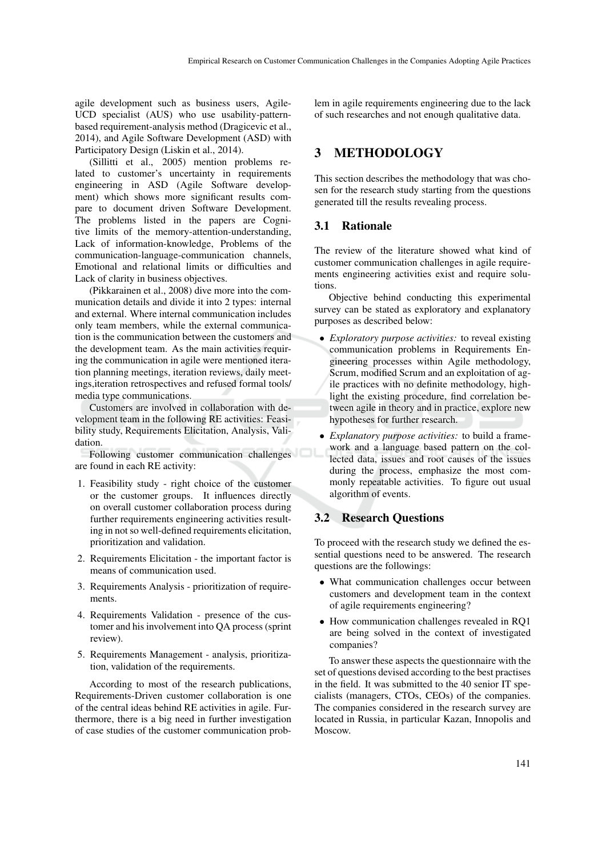agile development such as business users, Agile-UCD specialist (AUS) who use usability-patternbased requirement-analysis method (Dragicevic et al., 2014), and Agile Software Development (ASD) with Participatory Design (Liskin et al., 2014).

(Sillitti et al., 2005) mention problems related to customer's uncertainty in requirements engineering in ASD (Agile Software development) which shows more significant results compare to document driven Software Development. The problems listed in the papers are Cognitive limits of the memory-attention-understanding, Lack of information-knowledge, Problems of the communication-language-communication channels, Emotional and relational limits or difficulties and Lack of clarity in business objectives.

(Pikkarainen et al., 2008) dive more into the communication details and divide it into 2 types: internal and external. Where internal communication includes only team members, while the external communication is the communication between the customers and the development team. As the main activities requiring the communication in agile were mentioned iteration planning meetings, iteration reviews, daily meetings,iteration retrospectives and refused formal tools/ media type communications.

Customers are involved in collaboration with development team in the following RE activities: Feasibility study, Requirements Elicitation, Analysis, Validation.

Following customer communication challenges are found in each RE activity:

- 1. Feasibility study right choice of the customer or the customer groups. It influences directly on overall customer collaboration process during further requirements engineering activities resulting in not so well-defined requirements elicitation, prioritization and validation.
- 2. Requirements Elicitation the important factor is means of communication used.
- 3. Requirements Analysis prioritization of requirements.
- 4. Requirements Validation presence of the customer and his involvement into QA process (sprint review).
- 5. Requirements Management analysis, prioritization, validation of the requirements.

According to most of the research publications, Requirements-Driven customer collaboration is one of the central ideas behind RE activities in agile. Furthermore, there is a big need in further investigation of case studies of the customer communication problem in agile requirements engineering due to the lack of such researches and not enough qualitative data.

## 3 METHODOLOGY

This section describes the methodology that was chosen for the research study starting from the questions generated till the results revealing process.

#### 3.1 Rationale

The review of the literature showed what kind of customer communication challenges in agile requirements engineering activities exist and require solutions.

Objective behind conducting this experimental survey can be stated as exploratory and explanatory purposes as described below:

- *Exploratory purpose activities:* to reveal existing communication problems in Requirements Engineering processes within Agile methodology, Scrum, modified Scrum and an exploitation of agile practices with no definite methodology, highlight the existing procedure, find correlation between agile in theory and in practice, explore new hypotheses for further research.
- *Explanatory purpose activities:* to build a framework and a language based pattern on the collected data, issues and root causes of the issues during the process, emphasize the most commonly repeatable activities. To figure out usual algorithm of events.

## 3.2 Research Questions

To proceed with the research study we defined the essential questions need to be answered. The research questions are the followings:

- What communication challenges occur between customers and development team in the context of agile requirements engineering?
- How communication challenges revealed in RQ1 are being solved in the context of investigated companies?

To answer these aspects the questionnaire with the set of questions devised according to the best practises in the field. It was submitted to the 40 senior IT specialists (managers, CTOs, CEOs) of the companies. The companies considered in the research survey are located in Russia, in particular Kazan, Innopolis and Moscow.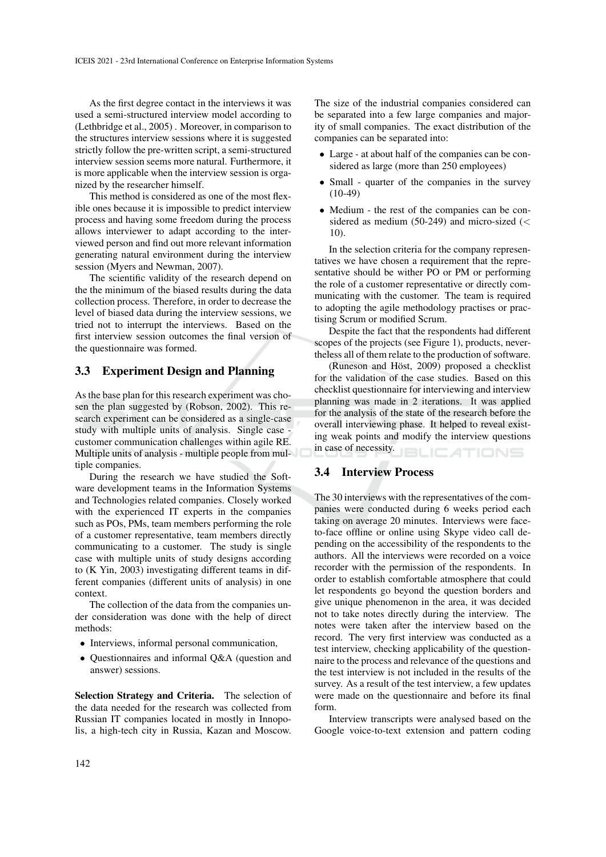As the first degree contact in the interviews it was used a semi-structured interview model according to (Lethbridge et al., 2005) . Moreover, in comparison to the structures interview sessions where it is suggested strictly follow the pre-written script, a semi-structured interview session seems more natural. Furthermore, it is more applicable when the interview session is organized by the researcher himself.

This method is considered as one of the most flexible ones because it is impossible to predict interview process and having some freedom during the process allows interviewer to adapt according to the interviewed person and find out more relevant information generating natural environment during the interview session (Myers and Newman, 2007).

The scientific validity of the research depend on the the minimum of the biased results during the data collection process. Therefore, in order to decrease the level of biased data during the interview sessions, we tried not to interrupt the interviews. Based on the first interview session outcomes the final version of the questionnaire was formed.

#### 3.3 Experiment Design and Planning

As the base plan for this research experiment was chosen the plan suggested by (Robson, 2002). This research experiment can be considered as a single-case study with multiple units of analysis. Single case customer communication challenges within agile RE. Multiple units of analysis - multiple people from multiple companies.

During the research we have studied the Software development teams in the Information Systems and Technologies related companies. Closely worked with the experienced IT experts in the companies such as POs, PMs, team members performing the role of a customer representative, team members directly communicating to a customer. The study is single case with multiple units of study designs according to (K Yin, 2003) investigating different teams in different companies (different units of analysis) in one context.

The collection of the data from the companies under consideration was done with the help of direct methods:

- Interviews, informal personal communication,
- Questionnaires and informal Q&A (question and answer) sessions.

Selection Strategy and Criteria. The selection of the data needed for the research was collected from Russian IT companies located in mostly in Innopolis, a high-tech city in Russia, Kazan and Moscow. The size of the industrial companies considered can be separated into a few large companies and majority of small companies. The exact distribution of the companies can be separated into:

- Large at about half of the companies can be considered as large (more than 250 employees)
- Small quarter of the companies in the survey (10-49)
- Medium the rest of the companies can be considered as medium (50-249) and micro-sized ( $\lt$ 10).

In the selection criteria for the company representatives we have chosen a requirement that the representative should be wither PO or PM or performing the role of a customer representative or directly communicating with the customer. The team is required to adopting the agile methodology practises or practising Scrum or modified Scrum.

Despite the fact that the respondents had different scopes of the projects (see Figure 1), products, nevertheless all of them relate to the production of software.

 $(Runeson and Höst, 2009)$  proposed a checklist for the validation of the case studies. Based on this checklist questionnaire for interviewing and interview planning was made in 2 iterations. It was applied for the analysis of the state of the research before the overall interviewing phase. It helped to reveal existing weak points and modify the interview questions in case of necessity. **ICATIONS** 

### 3.4 Interview Process

The 30 interviews with the representatives of the companies were conducted during 6 weeks period each taking on average 20 minutes. Interviews were faceto-face offline or online using Skype video call depending on the accessibility of the respondents to the authors. All the interviews were recorded on a voice recorder with the permission of the respondents. In order to establish comfortable atmosphere that could let respondents go beyond the question borders and give unique phenomenon in the area, it was decided not to take notes directly during the interview. The notes were taken after the interview based on the record. The very first interview was conducted as a test interview, checking applicability of the questionnaire to the process and relevance of the questions and the test interview is not included in the results of the survey. As a result of the test interview, a few updates were made on the questionnaire and before its final form.

Interview transcripts were analysed based on the Google voice-to-text extension and pattern coding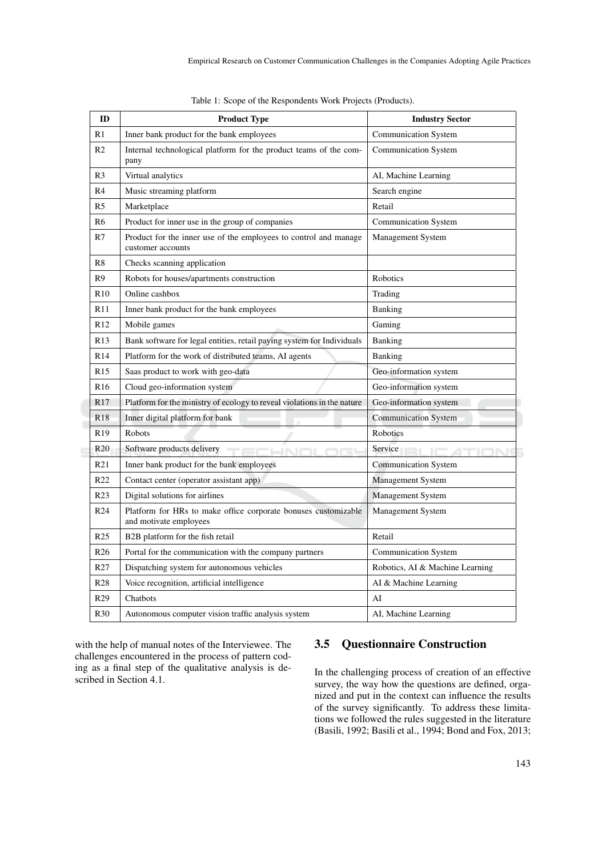| ID              | <b>Product Type</b>                                                                      | <b>Industry Sector</b>                |  |
|-----------------|------------------------------------------------------------------------------------------|---------------------------------------|--|
| R1              | Inner bank product for the bank employees                                                | <b>Communication System</b>           |  |
| R <sub>2</sub>  | Internal technological platform for the product teams of the com-<br>pany                | <b>Communication System</b>           |  |
| R <sub>3</sub>  | Virtual analytics                                                                        | AI, Machine Learning                  |  |
| R <sub>4</sub>  | Music streaming platform                                                                 | Search engine                         |  |
| R <sub>5</sub>  | Marketplace                                                                              | Retail                                |  |
| R <sub>6</sub>  | Product for inner use in the group of companies                                          | <b>Communication System</b>           |  |
| R7              | Product for the inner use of the employees to control and manage<br>customer accounts    | Management System                     |  |
| R8              | Checks scanning application                                                              |                                       |  |
| R <sup>9</sup>  | Robots for houses/apartments construction                                                | Robotics                              |  |
| R10             | Online cashbox                                                                           | Trading                               |  |
| R11             | Inner bank product for the bank employees                                                | <b>Banking</b>                        |  |
| R12             | Mobile games                                                                             | Gaming                                |  |
| R13             | Bank software for legal entities, retail paying system for Individuals                   | <b>Banking</b>                        |  |
| R <sub>14</sub> | Platform for the work of distributed teams, AI agents                                    | <b>Banking</b>                        |  |
| R15             | Saas product to work with geo-data                                                       | Geo-information system                |  |
| R <sub>16</sub> | Cloud geo-information system                                                             | Geo-information system                |  |
| R17             | Platform for the ministry of ecology to reveal violations in the nature                  | Geo-information system                |  |
| R <sub>18</sub> | Inner digital platform for bank                                                          | <b>Communication System</b>           |  |
| R <sub>19</sub> | Robots                                                                                   | <b>Robotics</b>                       |  |
| R <sub>20</sub> | Software products delivery<br>JN IC                                                      | Service <b>All Contracts</b><br>TN 19 |  |
| R21             | Inner bank product for the bank employees                                                | Communication System                  |  |
| R <sub>22</sub> | Contact center (operator assistant app)                                                  | Management System                     |  |
| R <sub>23</sub> | Digital solutions for airlines                                                           | Management System                     |  |
| R <sub>24</sub> | Platform for HRs to make office corporate bonuses customizable<br>and motivate employees | Management System                     |  |
| R <sub>25</sub> | B <sub>2</sub> B platform for the fish retail                                            | Retail                                |  |
| R <sub>26</sub> | Portal for the communication with the company partners                                   | <b>Communication System</b>           |  |
| R <sub>27</sub> | Dispatching system for autonomous vehicles                                               | Robotics, AI & Machine Learning       |  |
| <b>R28</b>      | Voice recognition, artificial intelligence                                               | AI & Machine Learning                 |  |
| R <sub>29</sub> | Chatbots                                                                                 | AI                                    |  |
| <b>R30</b>      | Autonomous computer vision traffic analysis system                                       | AI, Machine Learning                  |  |

Table 1: Scope of the Respondents Work Projects (Products).

with the help of manual notes of the Interviewee. The challenges encountered in the process of pattern coding as a final step of the qualitative analysis is described in Section 4.1.

## 3.5 Questionnaire Construction

In the challenging process of creation of an effective survey, the way how the questions are defined, organized and put in the context can influence the results of the survey significantly. To address these limitations we followed the rules suggested in the literature (Basili, 1992; Basili et al., 1994; Bond and Fox, 2013;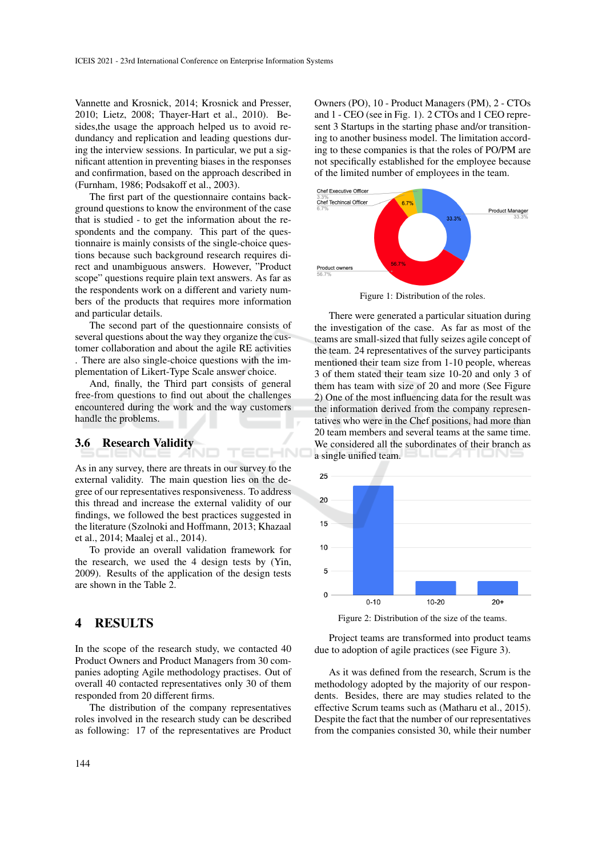Vannette and Krosnick, 2014; Krosnick and Presser, 2010; Lietz, 2008; Thayer-Hart et al., 2010). Besides,the usage the approach helped us to avoid redundancy and replication and leading questions during the interview sessions. In particular, we put a significant attention in preventing biases in the responses and confirmation, based on the approach described in (Furnham, 1986; Podsakoff et al., 2003).

The first part of the questionnaire contains background questions to know the environment of the case that is studied - to get the information about the respondents and the company. This part of the questionnaire is mainly consists of the single-choice questions because such background research requires direct and unambiguous answers. However, "Product scope" questions require plain text answers. As far as the respondents work on a different and variety numbers of the products that requires more information and particular details.

The second part of the questionnaire consists of several questions about the way they organize the customer collaboration and about the agile RE activities . There are also single-choice questions with the implementation of Likert-Type Scale answer choice.

And, finally, the Third part consists of general free-from questions to find out about the challenges encountered during the work and the way customers handle the problems.

#### 3.6 Research Validity

As in any survey, there are threats in our survey to the external validity. The main question lies on the degree of our representatives responsiveness. To address this thread and increase the external validity of our findings, we followed the best practices suggested in the literature (Szolnoki and Hoffmann, 2013; Khazaal et al., 2014; Maalej et al., 2014).

TECHN(

To provide an overall validation framework for the research, we used the 4 design tests by (Yin, 2009). Results of the application of the design tests are shown in the Table 2.

## 4 RESULTS

In the scope of the research study, we contacted 40 Product Owners and Product Managers from 30 companies adopting Agile methodology practises. Out of overall 40 contacted representatives only 30 of them responded from 20 different firms.

The distribution of the company representatives roles involved in the research study can be described as following: 17 of the representatives are Product

Owners (PO), 10 - Product Managers (PM), 2 - CTOs and 1 - CEO (see in Fig. 1). 2 CTOs and 1 CEO represent 3 Startups in the starting phase and/or transitioning to another business model. The limitation according to these companies is that the roles of PO/PM are not specifically established for the employee because of the limited number of employees in the team.



Figure 1: Distribution of the roles.

There were generated a particular situation during the investigation of the case. As far as most of the teams are small-sized that fully seizes agile concept of the team. 24 representatives of the survey participants mentioned their team size from 1-10 people, whereas 3 of them stated their team size 10-20 and only 3 of them has team with size of 20 and more (See Figure 2) One of the most influencing data for the result was the information derived from the company representatives who were in the Chef positions, had more than 20 team members and several teams at the same time. We considered all the subordinates of their branch as a single unified team.



Figure 2: Distribution of the size of the teams.

Project teams are transformed into product teams due to adoption of agile practices (see Figure 3).

As it was defined from the research, Scrum is the methodology adopted by the majority of our respondents. Besides, there are may studies related to the effective Scrum teams such as (Matharu et al., 2015). Despite the fact that the number of our representatives from the companies consisted 30, while their number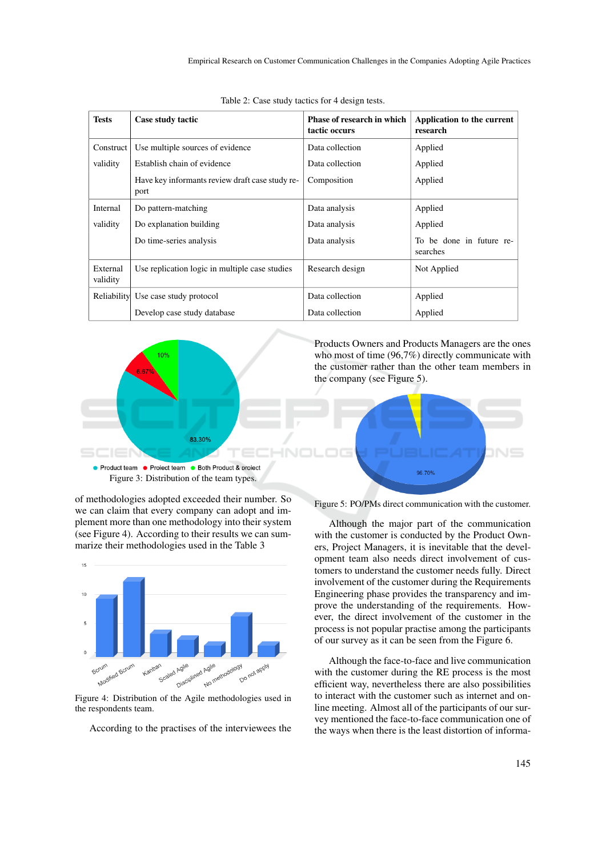| <b>Tests</b>         | Case study tactic                                       | <b>Phase of research in which</b><br>tactic occurs | Application to the current<br>research |
|----------------------|---------------------------------------------------------|----------------------------------------------------|----------------------------------------|
| Construct            | Use multiple sources of evidence                        | Data collection                                    | Applied                                |
| validity             | Establish chain of evidence                             | Data collection                                    | Applied                                |
|                      | Have key informants review draft case study re-<br>port | Composition                                        | Applied                                |
| Internal             | Do pattern-matching                                     | Data analysis                                      | Applied                                |
| validity             | Do explanation building                                 | Data analysis                                      | Applied                                |
|                      | Do time-series analysis                                 | Data analysis                                      | To be done in future re-<br>searches   |
| External<br>validity | Use replication logic in multiple case studies          | Research design                                    | Not Applied                            |
|                      | Reliability Use case study protocol                     | Data collection                                    | Applied                                |
|                      | Develop case study database                             | Data collection                                    | Applied                                |

Table 2: Case study tactics for 4 design tests.



of methodologies adopted exceeded their number. So we can claim that every company can adopt and implement more than one methodology into their system (see Figure 4). According to their results we can summarize their methodologies used in the Table 3



Figure 4: Distribution of the Agile methodologies used in the respondents team.

According to the practises of the interviewees the

Figure 5: PO/PMs direct communication with the customer.

Although the major part of the communication with the customer is conducted by the Product Owners, Project Managers, it is inevitable that the development team also needs direct involvement of customers to understand the customer needs fully. Direct involvement of the customer during the Requirements Engineering phase provides the transparency and improve the understanding of the requirements. However, the direct involvement of the customer in the process is not popular practise among the participants of our survey as it can be seen from the Figure 6.

Although the face-to-face and live communication with the customer during the RE process is the most efficient way, nevertheless there are also possibilities to interact with the customer such as internet and online meeting. Almost all of the participants of our survey mentioned the face-to-face communication one of the ways when there is the least distortion of informa-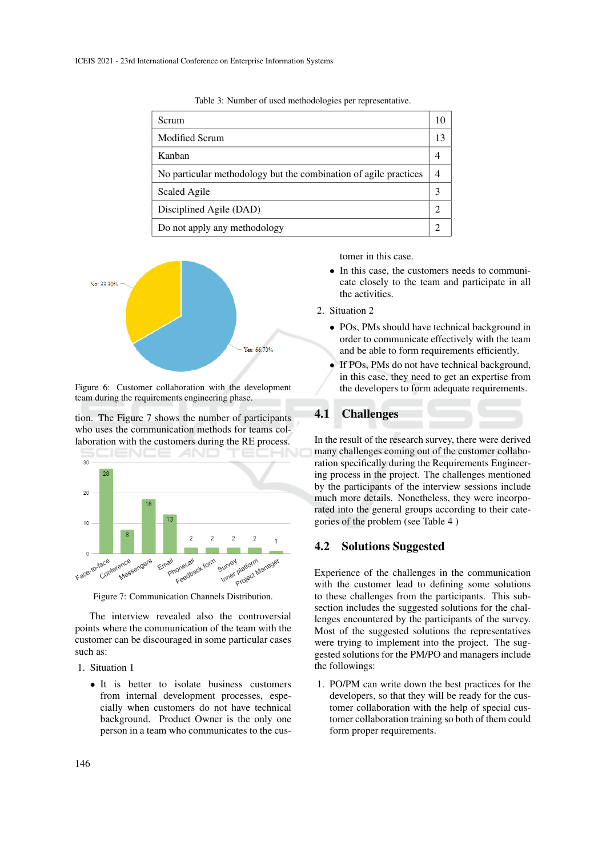| <b>Scrum</b>                                                     |    |
|------------------------------------------------------------------|----|
| Modified Scrum                                                   | 13 |
| Kanban                                                           |    |
| No particular methodology but the combination of agile practices |    |
| Scaled Agile                                                     |    |
| Disciplined Agile (DAD)                                          |    |
| Do not apply any methodology                                     |    |

Table 3: Number of used methodologies per representative.



Figure 6: Customer collaboration with the development team during the requirements engineering phase.

tion. The Figure 7 shows the number of participants who uses the communication methods for teams collaboration with the customers during the RE process.



Figure 7: Communication Channels Distribution.

The interview revealed also the controversial points where the communication of the team with the customer can be discouraged in some particular cases such as:

- 1. Situation 1
	- It is better to isolate business customers from internal development processes, especially when customers do not have technical background. Product Owner is the only one person in a team who communicates to the cus-

tomer in this case.

- In this case, the customers needs to communicate closely to the team and participate in all the activities.
- 2. Situation 2
	- POs, PMs should have technical background in order to communicate effectively with the team and be able to form requirements efficiently.
	- If POs, PMs do not have technical background, in this case, they need to get an expertise from the developers to form adequate requirements.

#### 4.1 Challenges

In the result of the research survey, there were derived many challenges coming out of the customer collaboration specifically during the Requirements Engineering process in the project. The challenges mentioned by the participants of the interview sessions include much more details. Nonetheless, they were incorporated into the general groups according to their categories of the problem (see Table 4 )

#### 4.2 Solutions Suggested

Experience of the challenges in the communication with the customer lead to defining some solutions to these challenges from the participants. This subsection includes the suggested solutions for the challenges encountered by the participants of the survey. Most of the suggested solutions the representatives were trying to implement into the project. The suggested solutions for the PM/PO and managers include the followings:

1. PO/PM can write down the best practices for the developers, so that they will be ready for the customer collaboration with the help of special customer collaboration training so both of them could form proper requirements.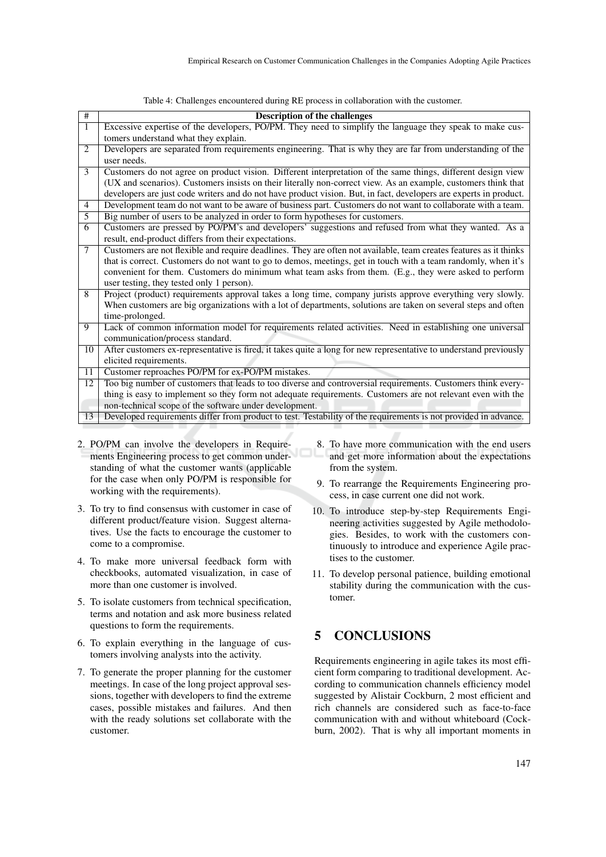| #               | <b>Description of the challenges</b>                                                                               |
|-----------------|--------------------------------------------------------------------------------------------------------------------|
| $\mathbf{1}$    | Excessive expertise of the developers, PO/PM. They need to simplify the language they speak to make cus-           |
|                 | tomers understand what they explain.                                                                               |
| 2               | Developers are separated from requirements engineering. That is why they are far from understanding of the         |
|                 | user needs.                                                                                                        |
| 3               | Customers do not agree on product vision. Different interpretation of the same things, different design view       |
|                 | (UX and scenarios). Customers insists on their literally non-correct view. As an example, customers think that     |
|                 | developers are just code writers and do not have product vision. But, in fact, developers are experts in product.  |
| $\overline{4}$  | Development team do not want to be aware of business part. Customers do not want to collaborate with a team.       |
| 5               | Big number of users to be analyzed in order to form hypotheses for customers.                                      |
| 6               | Customers are pressed by PO/PM's and developers' suggestions and refused from what they wanted. As a               |
|                 | result, end-product differs from their expectations.                                                               |
| 7               | Customers are not flexible and require deadlines. They are often not available, team creates features as it thinks |
|                 | that is correct. Customers do not want to go to demos, meetings, get in touch with a team randomly, when it's      |
|                 | convenient for them. Customers do minimum what team asks from them. (E.g., they were asked to perform              |
|                 | user testing, they tested only 1 person).                                                                          |
| 8               | Project (product) requirements approval takes a long time, company jurists approve everything very slowly.         |
|                 | When customers are big organizations with a lot of departments, solutions are taken on several steps and often     |
|                 | time-prolonged.                                                                                                    |
| 9               | Lack of common information model for requirements related activities. Need in establishing one universal           |
|                 | communication/process standard.                                                                                    |
| 10              | After customers ex-representative is fired, it takes quite a long for new representative to understand previously  |
|                 | elicited requirements.                                                                                             |
| $\overline{11}$ | Customer reproaches PO/PM for ex-PO/PM mistakes.                                                                   |
| 12              | Too big number of customers that leads to too diverse and controversial requirements. Customers think every-       |
|                 | thing is easy to implement so they form not adequate requirements. Customers are not relevant even with the        |
|                 | non-technical scope of the software under development.                                                             |
| 13              | Developed requirements differ from product to test. Testability of the requirements is not provided in advance.    |

Table 4: Challenges encountered during RE process in collaboration with the customer.

- 2. PO/PM can involve the developers in Requirements Engineering process to get common understanding of what the customer wants (applicable for the case when only PO/PM is responsible for working with the requirements).
- 3. To try to find consensus with customer in case of different product/feature vision. Suggest alternatives. Use the facts to encourage the customer to come to a compromise.
- 4. To make more universal feedback form with checkbooks, automated visualization, in case of more than one customer is involved.
- 5. To isolate customers from technical specification, terms and notation and ask more business related questions to form the requirements.
- 6. To explain everything in the language of customers involving analysts into the activity.
- 7. To generate the proper planning for the customer meetings. In case of the long project approval sessions, together with developers to find the extreme cases, possible mistakes and failures. And then with the ready solutions set collaborate with the customer.
- 8. To have more communication with the end users and get more information about the expectations from the system.
- 9. To rearrange the Requirements Engineering process, in case current one did not work.
- 10. To introduce step-by-step Requirements Engineering activities suggested by Agile methodologies. Besides, to work with the customers continuously to introduce and experience Agile practises to the customer.
- 11. To develop personal patience, building emotional stability during the communication with the customer.

## 5 CONCLUSIONS

Requirements engineering in agile takes its most efficient form comparing to traditional development. According to communication channels efficiency model suggested by Alistair Cockburn, 2 most efficient and rich channels are considered such as face-to-face communication with and without whiteboard (Cockburn, 2002). That is why all important moments in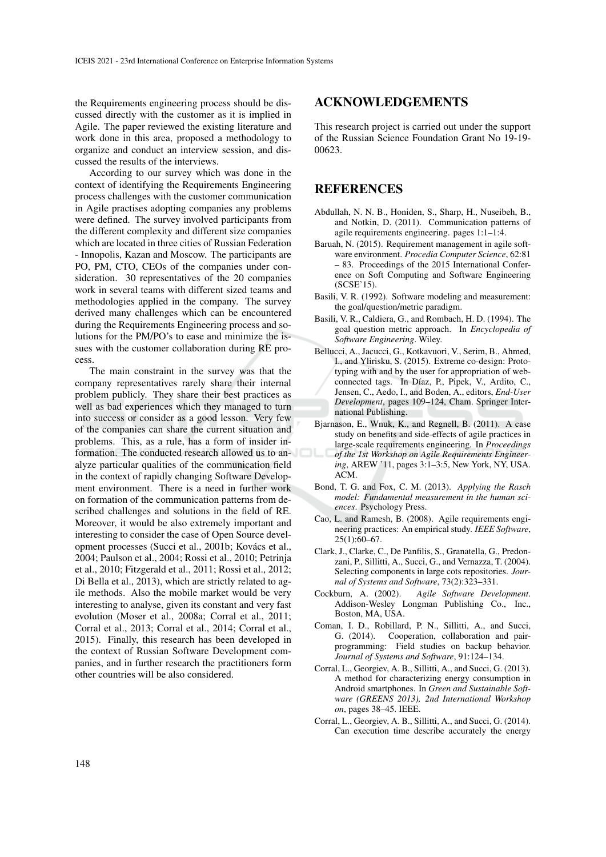the Requirements engineering process should be discussed directly with the customer as it is implied in Agile. The paper reviewed the existing literature and work done in this area, proposed a methodology to organize and conduct an interview session, and discussed the results of the interviews.

According to our survey which was done in the context of identifying the Requirements Engineering process challenges with the customer communication in Agile practises adopting companies any problems were defined. The survey involved participants from the different complexity and different size companies which are located in three cities of Russian Federation - Innopolis, Kazan and Moscow. The participants are PO, PM, CTO, CEOs of the companies under consideration. 30 representatives of the 20 companies work in several teams with different sized teams and methodologies applied in the company. The survey derived many challenges which can be encountered during the Requirements Engineering process and solutions for the PM/PO's to ease and minimize the issues with the customer collaboration during RE process.

The main constraint in the survey was that the company representatives rarely share their internal problem publicly. They share their best practices as well as bad experiences which they managed to turn into success or consider as a good lesson. Very few of the companies can share the current situation and problems. This, as a rule, has a form of insider information. The conducted research allowed us to analyze particular qualities of the communication field in the context of rapidly changing Software Development environment. There is a need in further work on formation of the communication patterns from described challenges and solutions in the field of RE. Moreover, it would be also extremely important and interesting to consider the case of Open Source development processes (Succi et al., 2001b; Kovács et al., 2004; Paulson et al., 2004; Rossi et al., 2010; Petrinja et al., 2010; Fitzgerald et al., 2011; Rossi et al., 2012; Di Bella et al., 2013), which are strictly related to agile methods. Also the mobile market would be very interesting to analyse, given its constant and very fast evolution (Moser et al., 2008a; Corral et al., 2011; Corral et al., 2013; Corral et al., 2014; Corral et al., 2015). Finally, this research has been developed in the context of Russian Software Development companies, and in further research the practitioners form other countries will be also considered.

#### ACKNOWLEDGEMENTS

This research project is carried out under the support of the Russian Science Foundation Grant No 19-19- 00623.

#### REFERENCES

- Abdullah, N. N. B., Honiden, S., Sharp, H., Nuseibeh, B., and Notkin, D. (2011). Communication patterns of agile requirements engineering. pages 1:1–1:4.
- Baruah, N. (2015). Requirement management in agile software environment. *Procedia Computer Science*, 62:81 – 83. Proceedings of the 2015 International Conference on Soft Computing and Software Engineering (SCSE'15).
- Basili, V. R. (1992). Software modeling and measurement: the goal/question/metric paradigm.
- Basili, V. R., Caldiera, G., and Rombach, H. D. (1994). The goal question metric approach. In *Encyclopedia of Software Engineering*. Wiley.
- Bellucci, A., Jacucci, G., Kotkavuori, V., Serim, B., Ahmed, I., and Ylirisku, S. (2015). Extreme co-design: Prototyping with and by the user for appropriation of webconnected tags. In Díaz, P., Pipek, V., Ardito, C., Jensen, C., Aedo, I., and Boden, A., editors, *End-User Development*, pages 109–124, Cham. Springer International Publishing.
- Bjarnason, E., Wnuk, K., and Regnell, B. (2011). A case study on benefits and side-effects of agile practices in large-scale requirements engineering. In *Proceedings of the 1st Workshop on Agile Requirements Engineering*, AREW '11, pages 3:1–3:5, New York, NY, USA. ACM.
- Bond, T. G. and Fox, C. M. (2013). *Applying the Rasch model: Fundamental measurement in the human sciences*. Psychology Press.
- Cao, L. and Ramesh, B. (2008). Agile requirements engineering practices: An empirical study. *IEEE Software*, 25(1):60–67.
- Clark, J., Clarke, C., De Panfilis, S., Granatella, G., Predonzani, P., Sillitti, A., Succi, G., and Vernazza, T. (2004). Selecting components in large cots repositories. *Journal of Systems and Software*, 73(2):323–331.
- Cockburn, A. (2002). *Agile Software Development*. Addison-Wesley Longman Publishing Co., Inc., Boston, MA, USA.
- Coman, I. D., Robillard, P. N., Sillitti, A., and Succi, G. (2014). Cooperation, collaboration and pairprogramming: Field studies on backup behavior. *Journal of Systems and Software*, 91:124–134.
- Corral, L., Georgiev, A. B., Sillitti, A., and Succi, G. (2013). A method for characterizing energy consumption in Android smartphones. In *Green and Sustainable Software (GREENS 2013), 2nd International Workshop on*, pages 38–45. IEEE.
- Corral, L., Georgiev, A. B., Sillitti, A., and Succi, G. (2014). Can execution time describe accurately the energy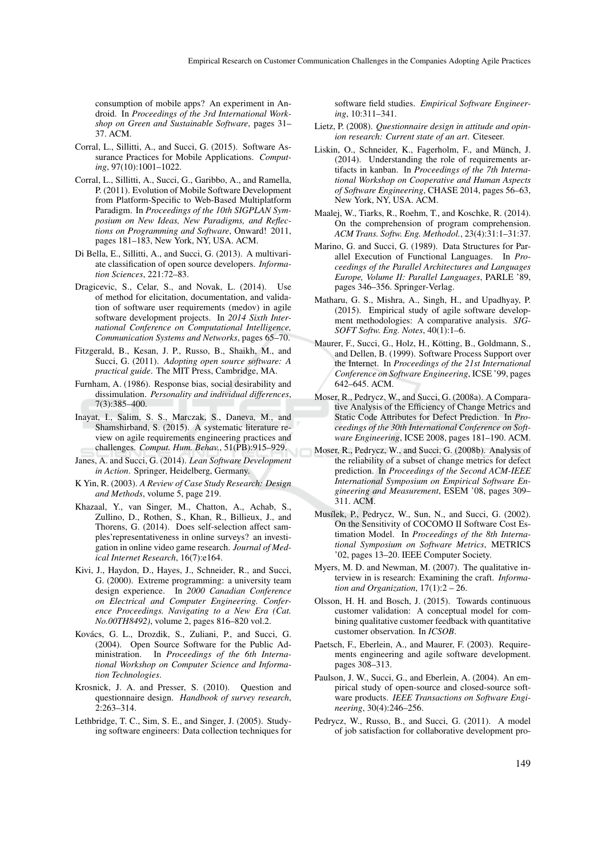consumption of mobile apps? An experiment in Android. In *Proceedings of the 3rd International Workshop on Green and Sustainable Software*, pages 31– 37. ACM.

- Corral, L., Sillitti, A., and Succi, G. (2015). Software Assurance Practices for Mobile Applications. *Computing*, 97(10):1001–1022.
- Corral, L., Sillitti, A., Succi, G., Garibbo, A., and Ramella, P. (2011). Evolution of Mobile Software Development from Platform-Specific to Web-Based Multiplatform Paradigm. In *Proceedings of the 10th SIGPLAN Symposium on New Ideas, New Paradigms, and Reflections on Programming and Software*, Onward! 2011, pages 181–183, New York, NY, USA. ACM.
- Di Bella, E., Sillitti, A., and Succi, G. (2013). A multivariate classification of open source developers. *Information Sciences*, 221:72–83.
- Dragicevic, S., Celar, S., and Novak, L. (2014). Use of method for elicitation, documentation, and validation of software user requirements (medov) in agile software development projects. In *2014 Sixth International Conference on Computational Intelligence, Communication Systems and Networks*, pages 65–70.
- Fitzgerald, B., Kesan, J. P., Russo, B., Shaikh, M., and Succi, G. (2011). *Adopting open source software: A practical guide*. The MIT Press, Cambridge, MA.
- Furnham, A. (1986). Response bias, social desirability and dissimulation. *Personality and individual differences*, 7(3):385–400.
- Inayat, I., Salim, S. S., Marczak, S., Daneva, M., and Shamshirband, S. (2015). A systematic literature review on agile requirements engineering practices and challenges. *Comput. Hum. Behav.*, 51(PB):915–929.
- Janes, A. and Succi, G. (2014). *Lean Software Development in Action*. Springer, Heidelberg, Germany.
- K Yin, R. (2003). *A Review of Case Study Research: Design and Methods*, volume 5, page 219.
- Khazaal, Y., van Singer, M., Chatton, A., Achab, S., Zullino, D., Rothen, S., Khan, R., Billieux, J., and Thorens, G. (2014). Does self-selection affect samples'representativeness in online surveys? an investigation in online video game research. *Journal of Medical Internet Research*, 16(7):e164.
- Kivi, J., Haydon, D., Hayes, J., Schneider, R., and Succi, G. (2000). Extreme programming: a university team design experience. In *2000 Canadian Conference on Electrical and Computer Engineering. Conference Proceedings. Navigating to a New Era (Cat. No.00TH8492)*, volume 2, pages 816–820 vol.2.
- Kovács, G. L., Drozdik, S., Zuliani, P., and Succi, G. (2004). Open Source Software for the Public Administration. In *Proceedings of the 6th International Workshop on Computer Science and Information Technologies*.
- Krosnick, J. A. and Presser, S. (2010). Question and questionnaire design. *Handbook of survey research*,  $2:263 - 314.$
- Lethbridge, T. C., Sim, S. E., and Singer, J. (2005). Studying software engineers: Data collection techniques for

software field studies. *Empirical Software Engineering*, 10:311–341.

- Lietz, P. (2008). *Questionnaire design in attitude and opinion research: Current state of an art*. Citeseer.
- Liskin, O., Schneider, K., Fagerholm, F., and Münch, J. (2014). Understanding the role of requirements artifacts in kanban. In *Proceedings of the 7th International Workshop on Cooperative and Human Aspects of Software Engineering*, CHASE 2014, pages 56–63, New York, NY, USA. ACM.
- Maalej, W., Tiarks, R., Roehm, T., and Koschke, R. (2014). On the comprehension of program comprehension. *ACM Trans. Softw. Eng. Methodol.*, 23(4):31:1–31:37.
- Marino, G. and Succi, G. (1989). Data Structures for Parallel Execution of Functional Languages. In *Proceedings of the Parallel Architectures and Languages Europe, Volume II: Parallel Languages*, PARLE '89, pages 346–356. Springer-Verlag.
- Matharu, G. S., Mishra, A., Singh, H., and Upadhyay, P. (2015). Empirical study of agile software development methodologies: A comparative analysis. *SIG-SOFT Softw. Eng. Notes*, 40(1):1–6.
- Maurer, F., Succi, G., Holz, H., Kötting, B., Goldmann, S., and Dellen, B. (1999). Software Process Support over the Internet. In *Proceedings of the 21st International Conference on Software Engineering*, ICSE '99, pages 642–645. ACM.
- Moser, R., Pedrycz, W., and Succi, G. (2008a). A Comparative Analysis of the Efficiency of Change Metrics and Static Code Attributes for Defect Prediction. In *Proceedings of the 30th International Conference on Software Engineering*, ICSE 2008, pages 181–190. ACM.
- Moser, R., Pedrycz, W., and Succi, G. (2008b). Analysis of the reliability of a subset of change metrics for defect prediction. In *Proceedings of the Second ACM-IEEE International Symposium on Empirical Software Engineering and Measurement*, ESEM '08, pages 309– 311. ACM.
- Musílek, P., Pedrycz, W., Sun, N., and Succi, G. (2002). On the Sensitivity of COCOMO II Software Cost Estimation Model. In *Proceedings of the 8th International Symposium on Software Metrics*, METRICS '02, pages 13–20. IEEE Computer Society.
- Myers, M. D. and Newman, M. (2007). The qualitative interview in is research: Examining the craft. *Information and Organization*, 17(1):2 – 26.
- Olsson, H. H. and Bosch, J. (2015). Towards continuous customer validation: A conceptual model for combining qualitative customer feedback with quantitative customer observation. In *ICSOB*.
- Paetsch, F., Eberlein, A., and Maurer, F. (2003). Requirements engineering and agile software development. pages 308–313.
- Paulson, J. W., Succi, G., and Eberlein, A. (2004). An empirical study of open-source and closed-source software products. *IEEE Transactions on Software Engineering*, 30(4):246–256.
- Pedrycz, W., Russo, B., and Succi, G. (2011). A model of job satisfaction for collaborative development pro-